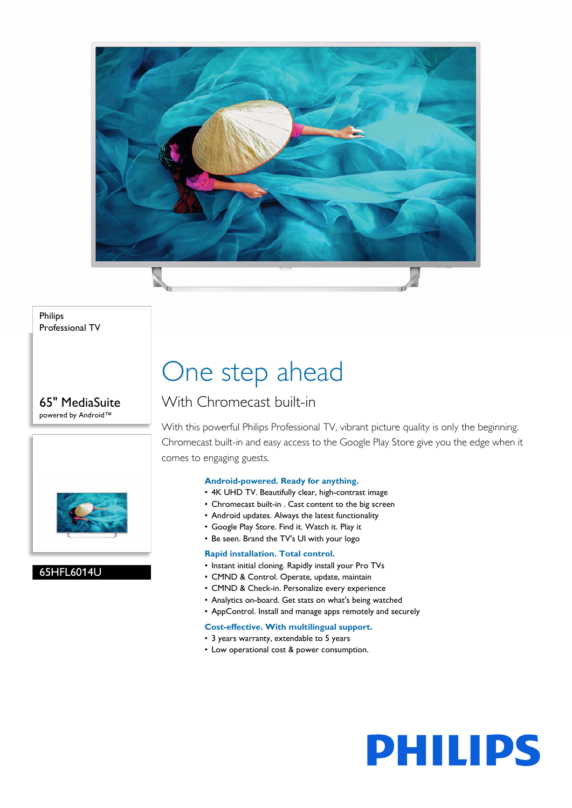

Philips Professional TV

65" MediaSuite powered by Android™



## 65HFL6014U

## One step ahead

## With Chromecast built-in

With this powerful Philips Professional TV, vibrant picture quality is only the beginning. Chromecast built-in and easy access to the Google Play Store give you the edge when it comes to engaging guests.

## **Android-powered. Ready for anything.**

- 4K UHD TV. Beautifully clear, high-contrast image
- Chromecast built-in . Cast content to the big screen
- Android updates. Always the latest functionality
- Google Play Store. Find it. Watch it. Play it
- Be seen. Brand the TV's UI with your logo

## **Rapid installation. Total control.**

- Instant initial cloning. Rapidly install your Pro TVs
- CMND & Control. Operate, update, maintain
- CMND & Check-in. Personalize every experience
- Analytics on-board. Get stats on what's being watched
- AppControl. Install and manage apps remotely and securely

## **Cost-effective. With multilingual support.**

- 3 years warranty, extendable to 5 years
- Low operational cost & power consumption.

# **PHILIPS**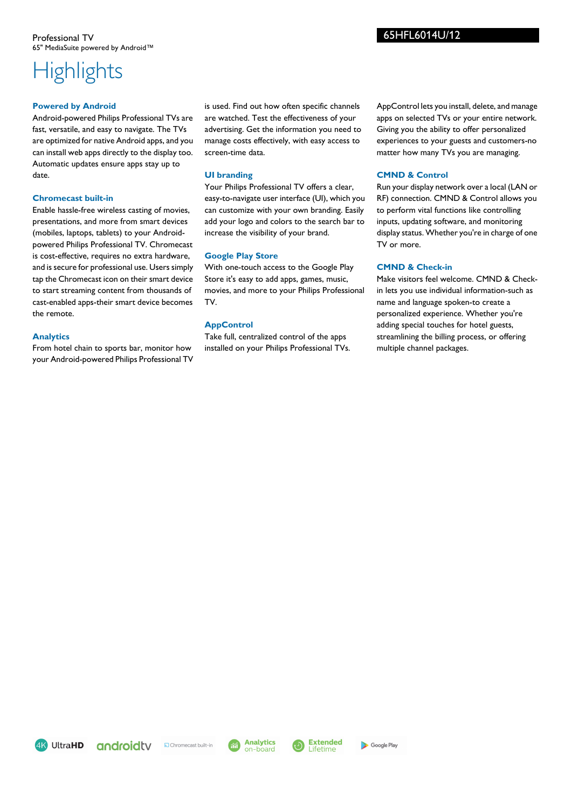## **Highlights**

## **Powered by Android**

Android-powered Philips Professional TVs are fast, versatile, and easy to navigate. The TVs are optimized for native Android apps, and you can install web apps directly to the display too. Automatic updates ensure apps stay up to date.

## **Chromecast built-in**

Enable hassle-free wireless casting of movies, presentations, and more from smart devices (mobiles, laptops, tablets) to your Androidpowered Philips Professional TV. Chromecast is cost-effective, requires no extra hardware, and is secure for professional use. Users simply tap the Chromecast icon on their smart device to start streaming content from thousands of cast-enabled apps-their smart device becomes the remote.

## **Analytics**

From hotel chain to sports bar, monitor how your Android-powered Philips Professional TV

is used. Find out how often specific channels are watched. Test the effectiveness of your advertising. Get the information you need to manage costs effectively, with easy access to screen-time data.

## **UI branding**

Your Philips Professional TV offers a clear, easy-to-navigate user interface (UI), which you can customize with your own branding. Easily add your logo and colors to the search bar to increase the visibility of your brand.

## **Google Play Store**

With one-touch access to the Google Play Store it's easy to add apps, games, music, movies, and more to your Philips Professional TV.

## **AppControl**

Take full, centralized control of the apps installed on your Philips Professional TVs. AppControl lets you install, delete, and manage apps on selected TVs or your entire network. Giving you the ability to offer personalized experiences to your guests and customers-no matter how many TVs you are managing.

## **CMND & Control**

Run your display network over a local (LAN or RF) connection. CMND & Control allows you to perform vital functions like controlling inputs, updating software, and monitoring display status. Whether you're in charge of one TV or more.

## **CMND & Check-in**

Make visitors feel welcome. CMND & Checkin lets you use individual information-such as name and language spoken-to create a personalized experience. Whether you're adding special touches for hotel guests, streamlining the billing process, or offering multiple channel packages.

4K UltraHD





65HFL6014U/12